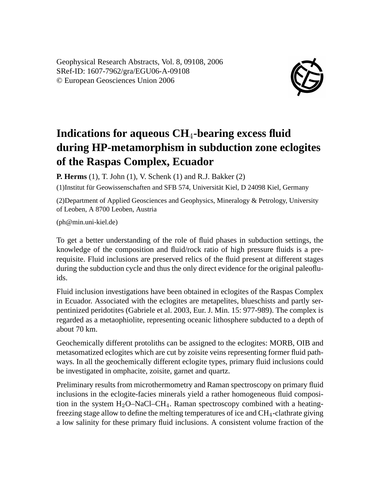Geophysical Research Abstracts, Vol. 8, 09108, 2006 SRef-ID: 1607-7962/gra/EGU06-A-09108 © European Geosciences Union 2006



## **Indications for aqueous CH**4**-bearing excess fluid during HP-metamorphism in subduction zone eclogites of the Raspas Complex, Ecuador**

**P. Herms** (1), T. John (1), V. Schenk (1) and R.J. Bakker (2)

(1)Institut für Geowissenschaften and SFB 574, Universität Kiel, D 24098 Kiel, Germany

(2)Department of Applied Geosciences and Geophysics, Mineralogy & Petrology, University of Leoben, A 8700 Leoben, Austria

(ph@min.uni-kiel.de)

To get a better understanding of the role of fluid phases in subduction settings, the knowledge of the composition and fluid/rock ratio of high pressure fluids is a prerequisite. Fluid inclusions are preserved relics of the fluid present at different stages during the subduction cycle and thus the only direct evidence for the original paleofluids.

Fluid inclusion investigations have been obtained in eclogites of the Raspas Complex in Ecuador. Associated with the eclogites are metapelites, blueschists and partly serpentinized peridotites (Gabriele et al. 2003, Eur. J. Min. 15: 977-989). The complex is regarded as a metaophiolite, representing oceanic lithosphere subducted to a depth of about 70 km.

Geochemically different protoliths can be assigned to the eclogites: MORB, OIB and metasomatized eclogites which are cut by zoisite veins representing former fluid pathways. In all the geochemically different eclogite types, primary fluid inclusions could be investigated in omphacite, zoisite, garnet and quartz.

Preliminary results from microthermometry and Raman spectroscopy on primary fluid inclusions in the eclogite-facies minerals yield a rather homogeneous fluid composition in the system  $H_2O-NaCl-CH_4$ . Raman spectroscopy combined with a heatingfreezing stage allow to define the melting temperatures of ice and  $CH<sub>4</sub>$ -clathrate giving a low salinity for these primary fluid inclusions. A consistent volume fraction of the